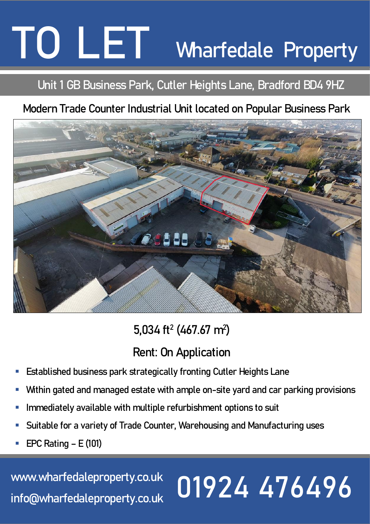# **TO LET TO LET TO LET Wharfedale Property**

## **Unit 1 GB Business Park, Cutler Heights Lane, Bradford BD4 9HZ**

## **Modern Trade Counter Industrial Unit located on Popular Business Park**



## **5,034 ft<sup>2</sup> (467.67 m<sup>2</sup> )**

## **Rent: On Application**

- **Established business park strategically fronting Cutler Heights Lane**
- Within gated and managed estate with ample on-site yard and car parking provisions
- Immediately available with multiple refurbishment options to suit
- **Suitable for a variety of Trade Counter, Warehousing and Manufacturing uses**
- **EPC Rating – E (101)**

#### **[www.wharfedaleproperty.co.uk](http://www.wharfedaleproperty.co.uk/) info@wharfedaleproperty.co.uk 01924 476496**